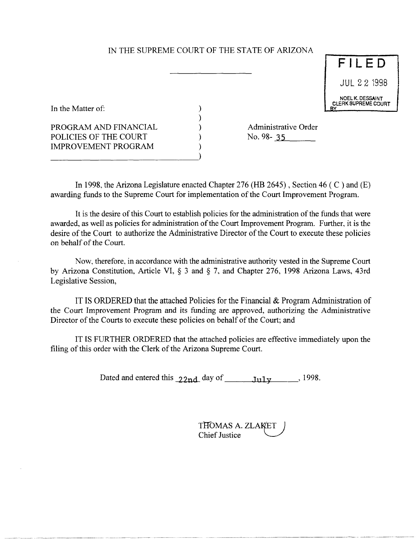# IN THE SUPREME COURT OF THE STATE OF ARIZONA

) ) ) ) )

F I LED JUL 22 1998 NOEL K. DESSAINT<br>CLERK SUPREME COURT

In the Matter of:

PROGRAM AND FINANCIAL POLICIES OF THE COURT IMPROVEMENT PROGRAM

--------------------------~)

Administrative Order No. 98- 35

In 1998, the Arizona Legislature enacted Chapter 276 (HB 2645) , Section 46 ( C ) and (E) awarding funds to the Supreme Court for implementation of the Court Improvement Program.

It is the desire of this Court to establish policies for the administration of the funds that were awarded, as well as policies for administration of the Court Improvement Program. Further, it is the desire of the Court to authorize the Administrative Director of the Court to execute these policies on behalf of the Court.

Now, therefore, in accordance with the administrative authority vested in the Supreme Court by Arizona Constitution, Article VI, § 3 and § 7, and Chapter 276, 1998 Arizona Laws, 43rd Legislative Session,

IT IS ORDERED that the attached Policies for the Financial & Program Administration of the Court Improvement Program and its funding are approved, authorizing the Administrative Director of the Courts to execute these policies on behalf of the Court; and

IT IS FURTHER ORDERED that the attached policies are effective immediately upon the filing of this order with the Clerk of the Arizona Supreme Court.

Dated and entered this  $22nd$  day of  $\frac{1}{111}$ ,  $\frac{1}{112}$ , 1998.

| THOMAS A. ZLAKET |  |
|------------------|--|
| Chief Justice    |  |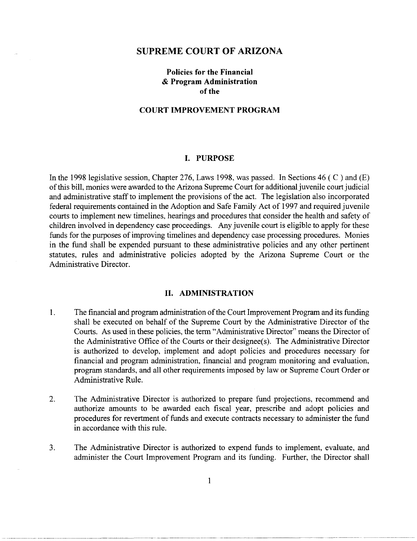#### **SUPREME COURT OF ARIZONA**

## **Policies for the Financial & Program Administration**  of the

### COURT IMPROVEMENT PROGRAM

#### **I. PURPOSE**

In the 1998 legislative session, Chapter 276, Laws 1998, was passed. In Sections 46 ( $\degree$ ) and (E) of this bill, monies were awarded to the Arizona Supreme Court for additional juvenile court judicial and administrative staff to implement the provisions of the act. The legislation also incorporated federal requirements contained in the Adoption and Safe Family Act of 1997 and required juvenile courts to implement new timelines, hearings and procedures that consider the health and safety of children involved in dependency case proceedings. Any juvenile court is eligible to apply for these funds for the purposes of improving timelines and dependency case processing procedures. Monies in the fund shall be expended pursuant to these administrative policies and any other pertinent statutes, rules and administrative policies adopted by the Arizona Supreme Court or the Administrative Director.

#### **II. ADMINISTRATION**

- 1. The financial and program administration of the Court Improvement Program and its funding shall be executed on behalf of the Supreme Court by the Administrative Director of the Courts. As used in these policies, the term "Administrative Director" means the Director of the Administrative Office of the Courts or their designee(s). The Administrative Director is authorized to develop, implement and adopt policies and procedures necessary for financial and program administration, financial and program monitoring and evaluation, program standards, and all other requirements imposed by law or Supreme Court Order or Administrative Rule.
- 2. The Administrative Director is authorized to prepare fund projections, recommend and authorize amounts to be awarded each fiscal year, prescribe and adopt policies and procedures for revertment of funds and execute contracts necessary to administer the fund in accordance with this rule.
- 3. The Administrative Director is authorized to expend funds to implement, evaluate, and administer the Court Improvement Program and its funding. Further, the Director shall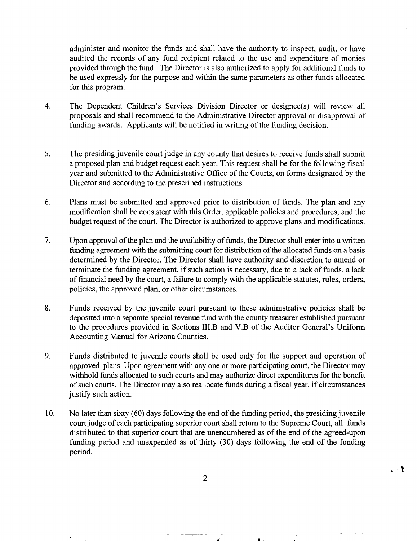administer and monitor the funds and shall have the authority to inspect, audit, or have audited the records of any fund recipient related to the use and expenditure of monies provided through the fund. The Director is also authorized to apply for additional funds to be used expressly for the purpose and within the same parameters as other funds allocated for this program.

- 4. The Dependent Children's Services Division Director or designee(s) will review all proposals and shall recommend to the Administrative Director approval or disapproval of funding awards. Applicants will be notified in writing of the funding decision.
- 5. The presiding juvenile court judge in any county that desires to receive funds shall submit a proposed plan and budget request each year. This request shall be for the following fiscal year and submitted to the Administrative Office of the Courts, on forms designated by the Director and according to the prescribed instructions.
- 6. Plans must be submitted and approved prior to distribution of funds. The plan and any modification shall be consistent with this Order, applicable policies and procedures, and the budget request of the court. The Director is authorized to approve plans and modifications.
- 7. Upon approval ofthe plan and the availability of funds, the Director shall enter into a written funding agreement with the submitting court for distribution of the allocated funds on a basis determined by the Director. The Director shall have authority and discretion to amend or terminate the funding agreement, if such action is necessary, due to a lack of funds, a lack of financial need by the court, a failure to comply with the applicable statutes, rules, orders, policies, the approved plan, or other circumstances.
- 8. Funds received by the juvenile court pursuant to these administrative policies shall be deposited into a separate special revenue fund with the county treasurer established pursuant to the procedures provided in Sections III.B and V.B of the Auditor General's Uniform Accounting Manual for Arizona Counties.
- 9. Funds distributed to juvenile courts shall be used only for the support and operation of approved plans. Upon agreement with anyone or more participating court, the Director may withhold funds allocated to such courts and may authorize direct expenditures for the benefit of such courts. The Director may also reallocate funds during a fiscal year, if circumstances justify such action.
- 10. No later than sixty (60) days following the end of the funding period, the presiding juvenile court judge of each participating superior court shall return to the Supreme Court, all funds distributed to that superior court that are unencumbered as of the end of the agreed-upon funding period and unexpended as of thirty (30) days following the end of the funding period.

2

• a .

 $_{\rm L}$  -  $\chi$